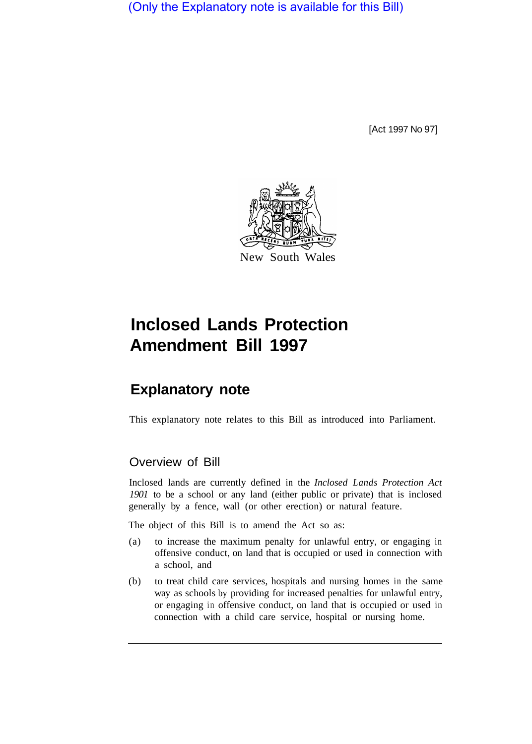(Only the Explanatory note is available for this Bill)

[Act 1997 No 97]



# **Inclosed Lands Protection Amendment Bill 1997**

## **Explanatory note**

This explanatory note relates to this Bill as introduced into Parliament.

#### Overview of Bill

Inclosed lands are currently defined in the *Inclosed Lands Protection Act 1901* to be a school or any land (either public or private) that is inclosed generally by a fence, wall (or other erection) or natural feature.

The object of this Bill is to amend the Act so as:

- (a) to increase the maximum penalty for unlawful entry, or engaging in offensive conduct, on land that is occupied or used in connection with a school, and
- (b) to treat child care services, hospitals and nursing homes in the same way as schools by providing for increased penalties for unlawful entry, or engaging in offensive conduct, on land that is occupied or used in connection with a child care service, hospital or nursing home.